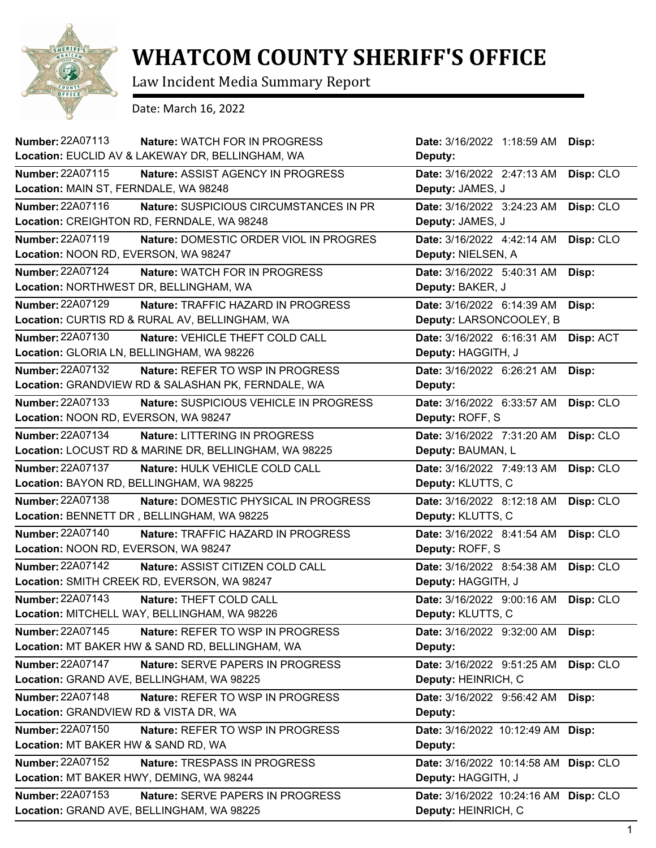

## **WHATCOM COUNTY SHERIFF'S OFFICE**

Law Incident Media Summary Report

Date: March 16, 2022

| <b>Number: 22A07113</b><br>Nature: WATCH FOR IN PROGRESS            | Date: 3/16/2022 1:18:59 AM            | Disp:     |
|---------------------------------------------------------------------|---------------------------------------|-----------|
| Location: EUCLID AV & LAKEWAY DR, BELLINGHAM, WA                    | Deputy:                               |           |
| <b>Number: 22A07115</b><br><b>Nature: ASSIST AGENCY IN PROGRESS</b> | Date: 3/16/2022 2:47:13 AM            | Disp: CLO |
| Location: MAIN ST, FERNDALE, WA 98248                               | Deputy: JAMES, J                      |           |
| Number: 22A07116<br>Nature: SUSPICIOUS CIRCUMSTANCES IN PR          | Date: 3/16/2022 3:24:23 AM            | Disp: CLO |
| Location: CREIGHTON RD, FERNDALE, WA 98248                          | Deputy: JAMES, J                      |           |
| <b>Number: 22A07119</b><br>Nature: DOMESTIC ORDER VIOL IN PROGRES   | Date: 3/16/2022 4:42:14 AM            | Disp: CLO |
| Location: NOON RD, EVERSON, WA 98247                                | Deputy: NIELSEN, A                    |           |
| Number: 22A07124<br>Nature: WATCH FOR IN PROGRESS                   | Date: 3/16/2022 5:40:31 AM            | Disp:     |
| Location: NORTHWEST DR, BELLINGHAM, WA                              | Deputy: BAKER, J                      |           |
| Number: 22A07129<br>Nature: TRAFFIC HAZARD IN PROGRESS              | Date: 3/16/2022 6:14:39 AM            | Disp:     |
| Location: CURTIS RD & RURAL AV, BELLINGHAM, WA                      | Deputy: LARSONCOOLEY, B               |           |
| <b>Number: 22A07130</b><br>Nature: VEHICLE THEFT COLD CALL          | Date: 3/16/2022 6:16:31 AM            | Disp: ACT |
| Location: GLORIA LN, BELLINGHAM, WA 98226                           | Deputy: HAGGITH, J                    |           |
| Number: 22A07132<br>Nature: REFER TO WSP IN PROGRESS                | Date: 3/16/2022 6:26:21 AM            | Disp:     |
| Location: GRANDVIEW RD & SALASHAN PK, FERNDALE, WA                  | Deputy:                               |           |
| Number: 22A07133<br>Nature: SUSPICIOUS VEHICLE IN PROGRESS          | Date: 3/16/2022 6:33:57 AM            | Disp: CLO |
| Location: NOON RD, EVERSON, WA 98247                                | Deputy: ROFF, S                       |           |
| Number: 22A07134<br>Nature: LITTERING IN PROGRESS                   | Date: 3/16/2022 7:31:20 AM            | Disp: CLO |
| Location: LOCUST RD & MARINE DR, BELLINGHAM, WA 98225               | Deputy: BAUMAN, L                     |           |
| Number: 22A07137<br>Nature: HULK VEHICLE COLD CALL                  | Date: 3/16/2022 7:49:13 AM            | Disp: CLO |
| Location: BAYON RD, BELLINGHAM, WA 98225                            | Deputy: KLUTTS, C                     |           |
| Number: 22A07138<br>Nature: DOMESTIC PHYSICAL IN PROGRESS           | Date: 3/16/2022 8:12:18 AM            | Disp: CLO |
| Location: BENNETT DR, BELLINGHAM, WA 98225                          | Deputy: KLUTTS, C                     |           |
| <b>Number: 22A07140</b><br>Nature: TRAFFIC HAZARD IN PROGRESS       | Date: 3/16/2022 8:41:54 AM            | Disp: CLO |
| Location: NOON RD, EVERSON, WA 98247                                | Deputy: ROFF, S                       |           |
| <b>Number: 22A07142</b><br>Nature: ASSIST CITIZEN COLD CALL         | Date: 3/16/2022 8:54:38 AM            | Disp: CLO |
| Location: SMITH CREEK RD, EVERSON, WA 98247                         | Deputy: HAGGITH, J                    |           |
| <b>Number: 22A07143</b><br>Nature: THEFT COLD CALL                  | Date: 3/16/2022 9:00:16 AM            | Disp: CLO |
| Location: MITCHELL WAY, BELLINGHAM, WA 98226                        | Deputy: KLUTTS, C                     |           |
| <b>Number: 22A07145</b><br>Nature: REFER TO WSP IN PROGRESS         | Date: 3/16/2022 9:32:00 AM            | Disp:     |
| Location: MT BAKER HW & SAND RD, BELLINGHAM, WA                     | Deputy:                               |           |
| Number: 22A07147<br>Nature: SERVE PAPERS IN PROGRESS                | Date: 3/16/2022 9:51:25 AM            | Disp: CLO |
| Location: GRAND AVE, BELLINGHAM, WA 98225                           | Deputy: HEINRICH, C                   |           |
| <b>Number: 22A07148</b><br>Nature: REFER TO WSP IN PROGRESS         | Date: 3/16/2022 9:56:42 AM            | Disp:     |
| Location: GRANDVIEW RD & VISTA DR, WA                               | Deputy:                               |           |
| <b>Number: 22A07150</b><br>Nature: REFER TO WSP IN PROGRESS         | Date: 3/16/2022 10:12:49 AM Disp:     |           |
| Location: MT BAKER HW & SAND RD, WA                                 | Deputy:                               |           |
| Number: 22A07152<br>Nature: TRESPASS IN PROGRESS                    | Date: 3/16/2022 10:14:58 AM Disp: CLO |           |
| Location: MT BAKER HWY, DEMING, WA 98244                            | Deputy: HAGGITH, J                    |           |
| <b>Number: 22A07153</b><br>Nature: SERVE PAPERS IN PROGRESS         | Date: 3/16/2022 10:24:16 AM Disp: CLO |           |
| Location: GRAND AVE, BELLINGHAM, WA 98225                           | Deputy: HEINRICH, C                   |           |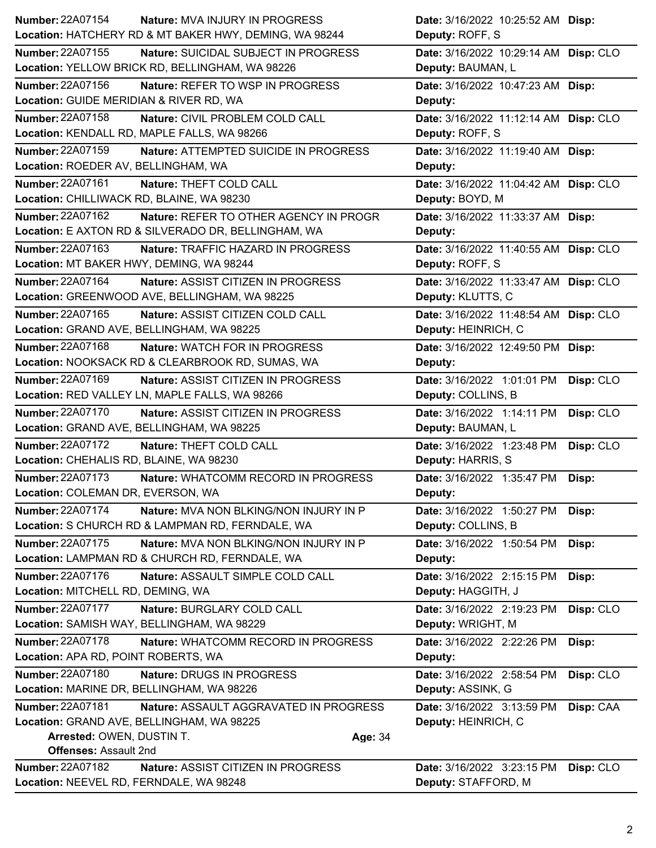| <b>Number: 22A07154</b><br><b>Nature: MVA INJURY IN PROGRESS</b>  | Date: 3/16/2022 10:25:52 AM Disp:       |
|-------------------------------------------------------------------|-----------------------------------------|
| Location: HATCHERY RD & MT BAKER HWY, DEMING, WA 98244            | Deputy: ROFF, S                         |
| Number: 22A07155<br>Nature: SUICIDAL SUBJECT IN PROGRESS          | Date: 3/16/2022 10:29:14 AM Disp: CLO   |
| Location: YELLOW BRICK RD, BELLINGHAM, WA 98226                   | Deputy: BAUMAN, L                       |
| <b>Number: 22A07156</b><br>Nature: REFER TO WSP IN PROGRESS       | Date: 3/16/2022 10:47:23 AM Disp:       |
| Location: GUIDE MERIDIAN & RIVER RD, WA                           | Deputy:                                 |
| <b>Number: 22A07158</b><br>Nature: CIVIL PROBLEM COLD CALL        | Date: 3/16/2022 11:12:14 AM Disp: CLO   |
| Location: KENDALL RD, MAPLE FALLS, WA 98266                       | Deputy: ROFF, S                         |
| Number: 22A07159<br>Nature: ATTEMPTED SUICIDE IN PROGRESS         | Date: 3/16/2022 11:19:40 AM Disp:       |
| Location: ROEDER AV, BELLINGHAM, WA                               | Deputy:                                 |
| Number: 22A07161<br>Nature: THEFT COLD CALL                       | Date: 3/16/2022 11:04:42 AM Disp: CLO   |
| Location: CHILLIWACK RD, BLAINE, WA 98230                         | Deputy: BOYD, M                         |
| Number: 22A07162<br>Nature: REFER TO OTHER AGENCY IN PROGR        | Date: 3/16/2022 11:33:37 AM Disp:       |
| Location: E AXTON RD & SILVERADO DR, BELLINGHAM, WA               | Deputy:                                 |
| Number: 22A07163<br>Nature: TRAFFIC HAZARD IN PROGRESS            | Date: 3/16/2022 11:40:55 AM Disp: CLO   |
| Location: MT BAKER HWY, DEMING, WA 98244                          | Deputy: ROFF, S                         |
| Number: 22A07164<br>Nature: ASSIST CITIZEN IN PROGRESS            | Date: 3/16/2022 11:33:47 AM Disp: CLO   |
| Location: GREENWOOD AVE, BELLINGHAM, WA 98225                     | Deputy: KLUTTS, C                       |
| Number: 22A07165<br>Nature: ASSIST CITIZEN COLD CALL              | Date: 3/16/2022 11:48:54 AM Disp: CLO   |
| Location: GRAND AVE, BELLINGHAM, WA 98225                         | Deputy: HEINRICH, C                     |
| Number: 22A07168<br>Nature: WATCH FOR IN PROGRESS                 | Date: 3/16/2022 12:49:50 PM Disp:       |
| Location: NOOKSACK RD & CLEARBROOK RD, SUMAS, WA                  | Deputy:                                 |
| Number: 22A07169<br>Nature: ASSIST CITIZEN IN PROGRESS            | Date: 3/16/2022 1:01:01 PM<br>Disp: CLO |
| Location: RED VALLEY LN, MAPLE FALLS, WA 98266                    | Deputy: COLLINS, B                      |
| Number: 22A07170<br>Nature: ASSIST CITIZEN IN PROGRESS            | Date: 3/16/2022 1:14:11 PM<br>Disp: CLO |
| Location: GRAND AVE, BELLINGHAM, WA 98225                         | Deputy: BAUMAN, L                       |
| <b>Number: 22A07172</b><br>Nature: THEFT COLD CALL                | Date: 3/16/2022 1:23:48 PM<br>Disp: CLO |
| Location: CHEHALIS RD, BLAINE, WA 98230                           | Deputy: HARRIS, S                       |
| <b>Number: 22A07173</b><br>Nature: WHATCOMM RECORD IN PROGRESS    | Date: 3/16/2022 1:35:47 PM<br>Disp:     |
| Location: COLEMAN DR, EVERSON, WA                                 | <b>Deputy:</b>                          |
| <b>Number: 22A07174</b><br>Nature: MVA NON BLKING/NON INJURY IN P | Date: 3/16/2022 1:50:27 PM<br>Disp:     |
| Location: S CHURCH RD & LAMPMAN RD, FERNDALE, WA                  | Deputy: COLLINS, B                      |
| Number: 22A07175<br>Nature: MVA NON BLKING/NON INJURY IN P        | Date: 3/16/2022 1:50:54 PM<br>Disp:     |
| Location: LAMPMAN RD & CHURCH RD, FERNDALE, WA                    | Deputy:                                 |
| Number: 22A07176<br>Nature: ASSAULT SIMPLE COLD CALL              | Date: 3/16/2022 2:15:15 PM<br>Disp:     |
| Location: MITCHELL RD, DEMING, WA                                 | Deputy: HAGGITH, J                      |
| <b>Number: 22A07177</b><br>Nature: BURGLARY COLD CALL             | Date: 3/16/2022 2:19:23 PM<br>Disp: CLO |
| Location: SAMISH WAY, BELLINGHAM, WA 98229                        | Deputy: WRIGHT, M                       |
| Number: 22A07178<br><b>Nature: WHATCOMM RECORD IN PROGRESS</b>    | Date: 3/16/2022 2:22:26 PM<br>Disp:     |
| Location: APA RD, POINT ROBERTS, WA                               | Deputy:                                 |
| <b>Number: 22A07180</b><br>Nature: DRUGS IN PROGRESS              | Disp: CLO<br>Date: 3/16/2022 2:58:54 PM |
| Location: MARINE DR, BELLINGHAM, WA 98226                         | Deputy: ASSINK, G                       |
| Number: 22A07181<br>Nature: ASSAULT AGGRAVATED IN PROGRESS        | Disp: CAA<br>Date: 3/16/2022 3:13:59 PM |
| Location: GRAND AVE, BELLINGHAM, WA 98225                         | Deputy: HEINRICH, C                     |
| Arrested: OWEN, DUSTIN T.<br>Age: 34                              |                                         |
| <b>Offenses: Assault 2nd</b>                                      |                                         |
| Number: 22A07182<br>Nature: ASSIST CITIZEN IN PROGRESS            | Date: 3/16/2022 3:23:15 PM<br>Disp: CLO |
| Location: NEEVEL RD, FERNDALE, WA 98248                           | Deputy: STAFFORD, M                     |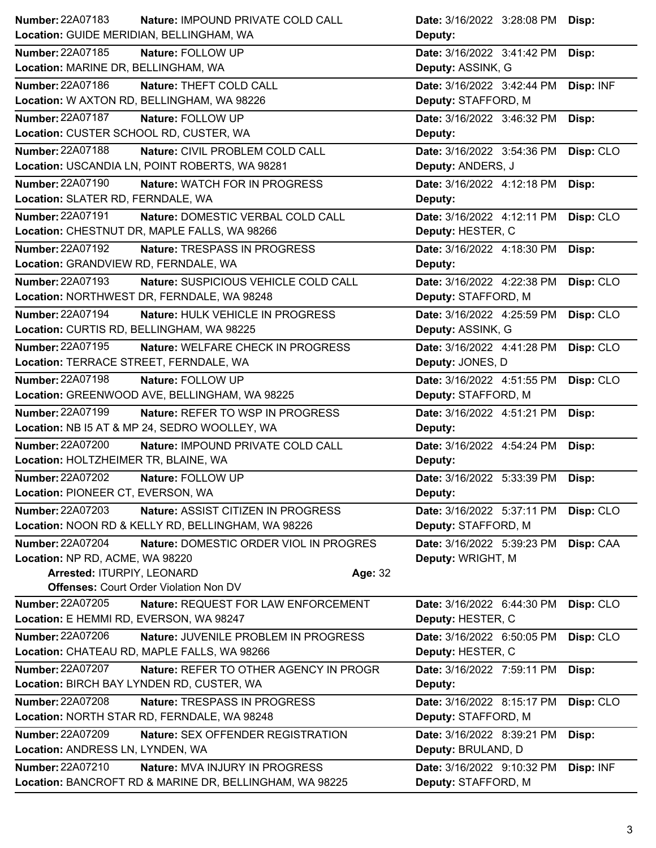| <b>Number: 22A07183</b>                   | Nature: IMPOUND PRIVATE COLD CALL                  | Date: 3/16/2022 3:28:08 PM Disp:               |
|-------------------------------------------|----------------------------------------------------|------------------------------------------------|
| Location: GUIDE MERIDIAN, BELLINGHAM, WA  |                                                    | Deputy:                                        |
| <b>Number: 22A07185</b>                   | Nature: FOLLOW UP                                  | Date: 3/16/2022 3:41:42 PM<br>Disp:            |
| Location: MARINE DR, BELLINGHAM, WA       |                                                    | Deputy: ASSINK, G                              |
| Number: 22A07186                          | Nature: THEFT COLD CALL                            | Disp: INF<br>Date: 3/16/2022 3:42:44 PM        |
|                                           | Location: W AXTON RD, BELLINGHAM, WA 98226         | Deputy: STAFFORD, M                            |
| <b>Number: 22A07187</b>                   | Nature: FOLLOW UP                                  | Date: 3/16/2022 3:46:32 PM<br>Disp:            |
| Location: CUSTER SCHOOL RD, CUSTER, WA    |                                                    | Deputy:                                        |
| Number: 22A07188                          | Nature: CIVIL PROBLEM COLD CALL                    | Date: 3/16/2022 3:54:36 PM<br>Disp: CLO        |
|                                           | Location: USCANDIA LN, POINT ROBERTS, WA 98281     | Deputy: ANDERS, J                              |
| <b>Number: 22A07190</b>                   | Nature: WATCH FOR IN PROGRESS                      | Date: 3/16/2022 4:12:18 PM<br>Disp:            |
| Location: SLATER RD, FERNDALE, WA         |                                                    | Deputy:                                        |
| Number: 22A07191                          | Nature: DOMESTIC VERBAL COLD CALL                  | Date: 3/16/2022 4:12:11 PM<br>Disp: CLO        |
|                                           | Location: CHESTNUT DR, MAPLE FALLS, WA 98266       | Deputy: HESTER, C                              |
| Number: 22A07192                          | Nature: TRESPASS IN PROGRESS                       | Date: 3/16/2022 4:18:30 PM<br>Disp:            |
| Location: GRANDVIEW RD, FERNDALE, WA      |                                                    | Deputy:                                        |
| Number: 22A07193                          | Nature: SUSPICIOUS VEHICLE COLD CALL               | Date: 3/16/2022 4:22:38 PM<br>Disp: CLO        |
|                                           | Location: NORTHWEST DR, FERNDALE, WA 98248         | Deputy: STAFFORD, M                            |
| Number: 22A07194                          | Nature: HULK VEHICLE IN PROGRESS                   | Date: 3/16/2022 4:25:59 PM<br>Disp: CLO        |
| Location: CURTIS RD, BELLINGHAM, WA 98225 |                                                    | Deputy: ASSINK, G                              |
| Number: 22A07195                          | Nature: WELFARE CHECK IN PROGRESS                  | Date: 3/16/2022 4:41:28 PM<br>Disp: CLO        |
| Location: TERRACE STREET, FERNDALE, WA    |                                                    | Deputy: JONES, D                               |
| Number: 22A07198                          | Nature: FOLLOW UP                                  | Date: 3/16/2022 4:51:55 PM<br>Disp: CLO        |
|                                           | Location: GREENWOOD AVE, BELLINGHAM, WA 98225      | Deputy: STAFFORD, M                            |
| Number: 22A07199                          | Nature: REFER TO WSP IN PROGRESS                   | Date: 3/16/2022 4:51:21 PM<br>Disp:            |
|                                           | Location: NB I5 AT & MP 24, SEDRO WOOLLEY, WA      | Deputy:                                        |
| <b>Number: 22A07200</b>                   | Nature: IMPOUND PRIVATE COLD CALL                  | Date: 3/16/2022 4:54:24 PM<br>Disp:            |
| Location: HOLTZHEIMER TR, BLAINE, WA      |                                                    | Deputy:                                        |
| <b>Number: 22A07202</b>                   | Nature: FOLLOW UP                                  | Date: 3/16/2022 5:33:39 PM<br>Disp:            |
| Location: PIONEER CT, EVERSON, WA         |                                                    | Deputy:                                        |
| <b>Number: 22A07203</b>                   | <b>Nature: ASSIST CITIZEN IN PROGRESS</b>          | Disp: CLO<br><b>Date:</b> 3/16/2022 5:37:11 PM |
|                                           | Location: NOON RD & KELLY RD, BELLINGHAM, WA 98226 | Deputy: STAFFORD, M                            |
| <b>Number: 22A07204</b>                   | Nature: DOMESTIC ORDER VIOL IN PROGRES             | Date: 3/16/2022 5:39:23 PM<br>Disp: CAA        |
| Location: NP RD, ACME, WA 98220           |                                                    | Deputy: WRIGHT, M                              |
| Arrested: ITURPIY, LEONARD                |                                                    | Age: 32                                        |
|                                           | <b>Offenses: Court Order Violation Non DV</b>      |                                                |
| Number: 22A07205                          | Nature: REQUEST FOR LAW ENFORCEMENT                | Date: 3/16/2022 6:44:30 PM<br>Disp: CLO        |
|                                           |                                                    |                                                |
| Location: E HEMMI RD, EVERSON, WA 98247   |                                                    | Deputy: HESTER, C                              |
| Number: 22A07206                          | Nature: JUVENILE PROBLEM IN PROGRESS               | Date: 3/16/2022 6:50:05 PM<br>Disp: CLO        |
|                                           | Location: CHATEAU RD, MAPLE FALLS, WA 98266        | Deputy: HESTER, C                              |
| <b>Number: 22A07207</b>                   | Nature: REFER TO OTHER AGENCY IN PROGR             | Date: 3/16/2022 7:59:11 PM<br>Disp:            |
|                                           | Location: BIRCH BAY LYNDEN RD, CUSTER, WA          | Deputy:                                        |
| Number: 22A07208                          | Nature: TRESPASS IN PROGRESS                       | Disp: CLO<br>Date: 3/16/2022 8:15:17 PM        |
|                                           | Location: NORTH STAR RD, FERNDALE, WA 98248        | Deputy: STAFFORD, M                            |
| Number: 22A07209                          | Nature: SEX OFFENDER REGISTRATION                  | Date: 3/16/2022 8:39:21 PM<br>Disp:            |
| Location: ANDRESS LN, LYNDEN, WA          |                                                    | Deputy: BRULAND, D                             |
| <b>Number: 22A07210</b>                   | Nature: MVA INJURY IN PROGRESS                     | Date: 3/16/2022 9:10:32 PM<br>Disp: INF        |